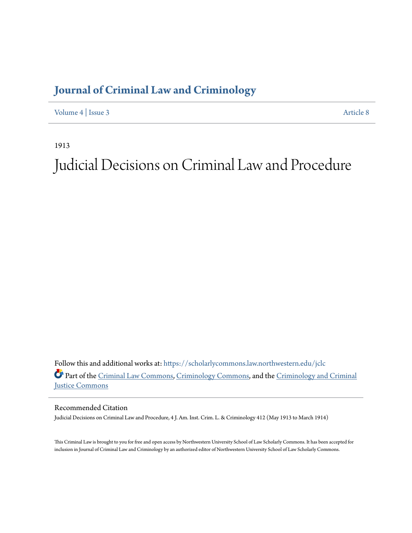# **[Journal of Criminal Law and Criminology](https://scholarlycommons.law.northwestern.edu/jclc?utm_source=scholarlycommons.law.northwestern.edu%2Fjclc%2Fvol4%2Fiss3%2F8&utm_medium=PDF&utm_campaign=PDFCoverPages)**

[Volume 4](https://scholarlycommons.law.northwestern.edu/jclc/vol4?utm_source=scholarlycommons.law.northwestern.edu%2Fjclc%2Fvol4%2Fiss3%2F8&utm_medium=PDF&utm_campaign=PDFCoverPages) | [Issue 3](https://scholarlycommons.law.northwestern.edu/jclc/vol4/iss3?utm_source=scholarlycommons.law.northwestern.edu%2Fjclc%2Fvol4%2Fiss3%2F8&utm_medium=PDF&utm_campaign=PDFCoverPages) [Article 8](https://scholarlycommons.law.northwestern.edu/jclc/vol4/iss3/8?utm_source=scholarlycommons.law.northwestern.edu%2Fjclc%2Fvol4%2Fiss3%2F8&utm_medium=PDF&utm_campaign=PDFCoverPages)

1913

# Judicial Decisions on Criminal Law and Procedure

Follow this and additional works at: [https://scholarlycommons.law.northwestern.edu/jclc](https://scholarlycommons.law.northwestern.edu/jclc?utm_source=scholarlycommons.law.northwestern.edu%2Fjclc%2Fvol4%2Fiss3%2F8&utm_medium=PDF&utm_campaign=PDFCoverPages) Part of the [Criminal Law Commons](http://network.bepress.com/hgg/discipline/912?utm_source=scholarlycommons.law.northwestern.edu%2Fjclc%2Fvol4%2Fiss3%2F8&utm_medium=PDF&utm_campaign=PDFCoverPages), [Criminology Commons](http://network.bepress.com/hgg/discipline/417?utm_source=scholarlycommons.law.northwestern.edu%2Fjclc%2Fvol4%2Fiss3%2F8&utm_medium=PDF&utm_campaign=PDFCoverPages), and the [Criminology and Criminal](http://network.bepress.com/hgg/discipline/367?utm_source=scholarlycommons.law.northwestern.edu%2Fjclc%2Fvol4%2Fiss3%2F8&utm_medium=PDF&utm_campaign=PDFCoverPages) [Justice Commons](http://network.bepress.com/hgg/discipline/367?utm_source=scholarlycommons.law.northwestern.edu%2Fjclc%2Fvol4%2Fiss3%2F8&utm_medium=PDF&utm_campaign=PDFCoverPages)

Recommended Citation

Judicial Decisions on Criminal Law and Procedure, 4 J. Am. Inst. Crim. L. & Criminology 412 (May 1913 to March 1914)

This Criminal Law is brought to you for free and open access by Northwestern University School of Law Scholarly Commons. It has been accepted for inclusion in Journal of Criminal Law and Criminology by an authorized editor of Northwestern University School of Law Scholarly Commons.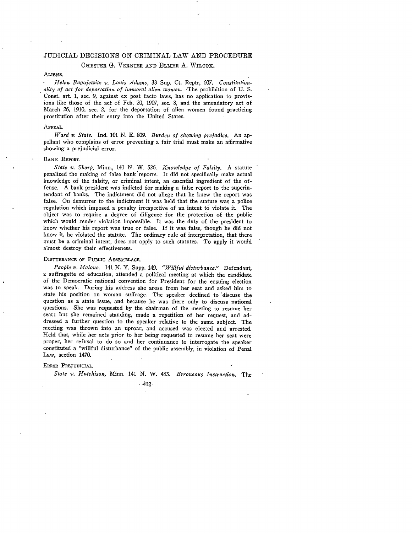# JUDICIAL DECISIONS ON CRIMINAL LAW AND PROCEDURE

# CHESTER G. VERNIER AND ELMER A. WILCOX.

## ALIENS.

*Helen Bugajewitz v. Louis Adams,* 33 Sup. Ct. Reptr, **607.** *Constitutionality of act for deportation of immoral alien wome n.* -The prohibition of **U.** S. Const. art. 1, sec. 9, against ex post facto laws, has no application to provisions like those of the act of Feb. 20, 1907, sec. 3, and the amendatory act of March 26, 1910, sec. *2,* for the deportation of alien women found practicing prostitution after their entry into the United States.

#### **APPEAL.**

*Ward v. State.* Ind. 101 **N.** E. 809. *Burden of showing prejudice.* An appellant who complains of error preventing a fair trial must make an affirmative showing a prejudicial error.

#### **BANK REPORT.**

*State v. Sharp,* Minn., 141 N. W. 526. *Knowledge of Falsity.* A statute penalized the making of false bank'reports. It did not specifically make actual knowledge of the falsity, or criminal intent, an essential ingredient of the offense. A bank president was indicted for making a false report to the superintendant of banks. The indictment did not allege that he knew the report was false. On demurrer to the indictment it was held that the statute was a police regulation which imposed a penalty irrespective of an intent to violate it. The object was to require a degree of diligence for the protection of the public which would render violation impossible. It was the duty of the president to know whether his report was true or false. If it was false, though he did not know it, he violated the statute. The ordinary rule of interpretation, that there must be a criminal intent, does not apply to such statutes. To apply it would almost destroy their effectiveness.

#### DISTURBANCE OF PUBLIC **ASSEMBLAGE.**

*People v. Malone.* 141 **N.** Y. Supp. 149. *"Willful disturbance."* Defendant, a suffragette of education, attended a political meeting at which the candidate of the Democratic national convention for President for the ensuing election was to speak. During his address she arose from her seat and asked him to state his position on woman suffrage. The speaker declined to discuss the question as a state issue, and because he was there only to discuss national questions. She was requested **by** the chairman of the meeting to resume her seat; but she remained standing, made a repetition of her request, and addressed a further question to the speaker relative to the same subject. The meeting was thrown into an uproar, and accused was ejected and arrested. Held that, while her acts prior to her being requested to resume her seat were proper, her refusal to do so and her continuance to interrogate the speaker constituted a "willful disturbance" of the public assembly, in violation of Penal Law, section 1470.

#### **ERROR PREJUDICIAL.**

*State v. Hutchison,* Minn. 141 **N.** W. 483. *Erroneous Instruction. The*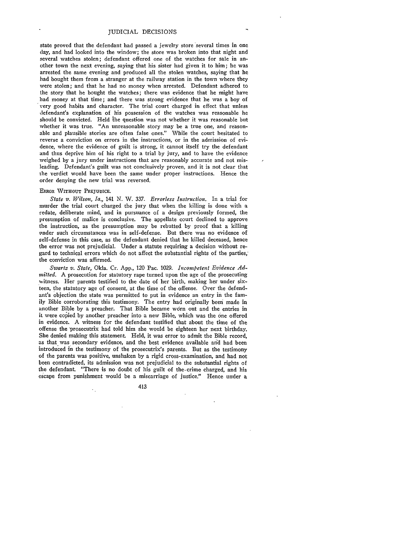state proved that the defendant had passed a jewelry store several times in one day, and had looked into the window; the store was broken into that night and several watches stolen; defendant offered one of the watches for sale in another town the next evening, saying that his sister had given it to him; he was arrested the same evening and produced all the stolen watches, saying that he had bought them from a stranger at the railway station in the town where they were stolen; and that he had no money when arrested. Defendant adhered to the story that he bought the watches; there was evidence that he might have had money at that time; and there was strong evidence that he was a boy of very good habits and character. The trial court charged in effect that unless defendant's explanation of his possession of the watches was reasonable he should be convicted. Held ihe question was not whether it was reasonable but whether it was true. "An unreasonable story may be a true one, and reasonable and plausible stories are often false ones." While the court hesitated to reverse a conviction on errors in the instructions, or in the admission of evidence, where the evidence of guilt is strong, it cannot itself try the defendant and thus deprive him of his right to a trial by jury, and to have the evidence weighed by a jury under instructions that are reasonably accurate and not misleading. Defendant's guilt was not conclusively proven, and it is not clear that the verdict would have been the same under proper instructions. Hence the order denying the new trial was reversed.

#### ERROR WITHOUT **PREJUDICE.**

*State v. Wilson, Ia.,* 141 N. W. 337. *Errorless Instruction.* In a trial for murder the trial court charged the jury that when the killing is done with a .edate, deliberate mind, and in pursuance of a design previously formed, the presumption of malice is conclusive. The appellate court declined to approve the instruction, as the presumption may be rebutted **by** proof that a killing under such circumstances was in self-defense. But there was no evidence of self-defense in this case, as the defendant denied that he killed deceased, hence the error was not prejudicial. Under a statute requiring a decision without regard to technical errors which do not affect the substantial rights of the parties, the conviction was affirmed.

*Swarta v. State,* Okla. Cr. App., 120 Pac. 1029. *Incompetent Evidence Adinitted.* A prosecution for statutory rape turned upon the age of the prosecuting witness. Her parents testified to the date of her birth, making her under sixteen, the statutory age of consent, at the time of the offense. Over the defendant's objection the state was permitted to put in evidence an entry in the family Bible corroborating this testimony. The entry had originally been made in another Bible by a preacher. That Bible became worn out and the entries in it were copied **by** another preacher into a new Bible, which was the one offered in evidence. A witness for the defendant testified that about the time of the offense the "prosecutrix had told him she would be eighteen her next birthday. She denied making this statement. Held, it was error to admit the Bible record, as that was secondary evidence, and the best evidence available and had been introduced in the testimony of the prosecutrix's parents. But as the testimony of the parents was positive, unshaken by a rigid cross-examination, and had not been contradicted, its admission was not prejudicial to the substantial rights of the defendant. "There is no doubt of his guilt of the-crime charged, and his escape from punishment would be a miscarriage of justice." Hence under a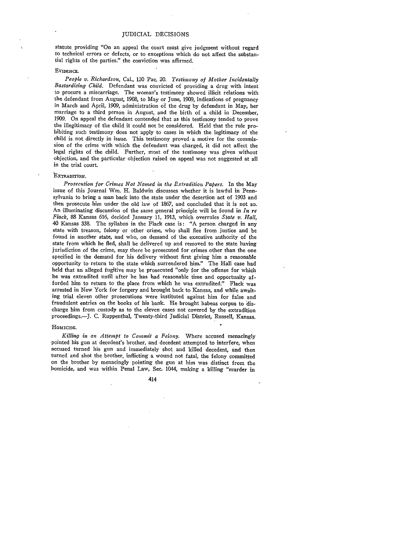statute providing "On an appeal the court must give judgment without regard to technical errors or defects, or to exceptions which do not affect the substantial rights of the parties." the conviction was affirmed.

#### **EVIDENCE.**

*People v. Richardson,* Cal., 120 Pac. 20. *Testimony of Mother Incidentally Bastardizing Child.* Defendant was convicted of providing a drug with intent to procure a miscarriage. The woman's testimony showed illicit relations with the defendant from August, 1908, to May or June, 1909, indications of pregnancy in March and April, 1909, administration of the drug by defendant in May, her marriage to a third person in August, and the birth of a child in December, 1909. On appeal the defendant contended that as this testimony tended to prove the illegitimacy of the child it could not be considered. Held that the rule prohibiting such testimony does not apply to cases in which the legitimacy of the child is not directly in issue. This testimony proved a motive for the commission of the crime with which the defendant was charged, it did not affect the legal rights of the child. Further, most of the testimony was given without objection, and the particular objection raised on appeal was not suggested at all in the trial court.

#### EXTRADITION.

*Prosecution for Crimes Not Named in the Extradition Papers.* In the May issue of this Journal Win. H. Baldwin discusses whether it is lawful in Pennsylvania to bring a man back into the state under the desertion act of 1903 and then prosecute him under the old law of 1867, and concluded that it is not so. An illuminating discussion of the same general principle will be found in *In re Flack,* 88 Kansas 616, decided January 11, 1913, which overrules *State v. Hall,* 40 Kansas 338. The syllabus in the Flack case is: "A person charged in any state with treason, felony or other crime, who shall flee from justice and be found in another state, and who, on demand of the executive authority of the state from which be fled, shall be delivered up and removed to the state having jurisdiction of the crime, may there be prosecuted for crimes other than the one specified in the demand for his delivery without first giving him a reasonable opportunity to return to the state which surrendered him." The Hall case had held that an alleged fugitive may be prosecuted "only for the offense for which he was extradited until after he has had reasonable time and opportunity afforded him to return to the place from which he was extradited' Flack was arrested in New York for forgery and brought back to Kansas, and while awaiting trial eleven other prosecutions were instituted against him for false and fraudulent entries on the books of his bank. He brought habeas corpus to discharge him from custody as to the eleven cases not covered by the extradition proceedings.-J. C. Ruppenthal, Twenty-third Judicial District, Russell, Kansas.

#### **HOMIcIDE.**

*Killing in an Attempt to Commit a Felony.* Where accused menacingly pointed his gun at decedent's brother, and decedent attempted to interfere, when accused turned his gun and immediately shot and killed decedent, and then turned and shot the brother, inflicting a wound not fatal, the felony committed on the brother by menacingly pointing the gun at him was distinct from the homicide, and was within Penal Law, Sec. 1044, making a killing "murder in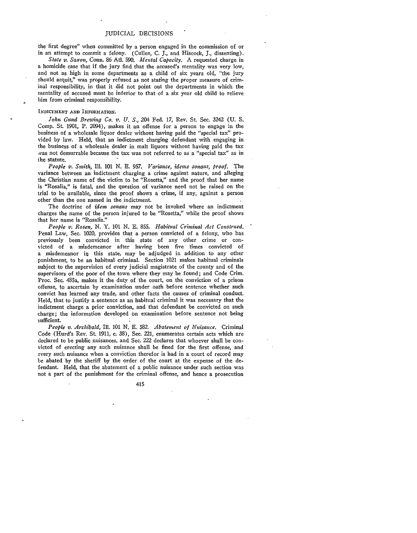the first degree" when committed by a person engaged in the commission of or in an attempt to commit a felony. (Cullen, C. *J.,* and Hiscock, *J.,* dissenting).

*State v. Saxon,* Conn. 86 At. **590.** *Mental Capacity.* A requested charge in a homicide case that if the jury find that the accused's mentality was very low, and not as high in some departments as a child of six years old, "the jury should acquit," was properly refused as not stating the proper measure of criminal responsibility, in that it did not point out the departments in which the mentality of accused must be inferior to that of a six year old child to relieve him from criminal responsibility.

#### **INDICTMENT AND)** INFORMATION.

*John Gund Brewing Co. v. U. S.,* 204 Fed. 17, Rev. St. Sec. 3242 (U. S. Comp. St. 1901, P. 2094), makes it an offense for a person to engage in the business of a wholesale liquor dealer without having paid the "special tax" provided by law. Held, that an indictment charging defendant with engaging in the business of a wholesale dealer in malt liquors without having paid the tax was not demurrable because the tax was not referred to as a "special tax" as in the statute.

*People v. Smith, I1.* **101 N.** E. **957.** *Variance, idems sonans, proof.* The variance between an indictment charging a crime against nature, and alleging the Christian name of the victim to be "Rosetta," and the proof that her name is "Rosalia," is fatal, and the question of variance need not be raised on the trial to be available, since the proof shows a crime, if any, against a person other than the one named in the indictment.

The doctrine of *idem sonans* may not be invoked where an indictment charges the name of the person injured to be "Rosetta," while the proof shows that her name is "Rosalia."

*People v. Rosen,* **N.** Y. **101** N. **E.** 855. *Habitual Criminal Act Construed.* Penal Law, Sec. 1020, provides that a person convicted of a felony, who has previously been convicted in this state of any other crime or convicted of a misdemeanor after having been five times convicted of a misdemeanor iq this state, may be adjudged in addition to any other punishment, to be an habitual criminal. Section 1021 makes habitual criminals subject to the supervision of every judicial magistrate of the county and of the supervisors of the poor of the town where they may be found; and Code Crim. Proc. See. 485a, makes it the duty of the court, on the conviction of a prison offense, to ascertain by examination under oath before sentence whether such convict has learned any trade, and other facts the causes of criminal conduct. Held, that to justify a sentence as an habitual criminal it was necessary that the indictment charge a prior conviction, and that defendant be convicted on such charge; the information developed on examination before sentence not being sufficient.

*People v. Archibald,* Ill. 101 N. E. 582. *Abatement of Nuisance.* Criminal Code (Hurd's Rev. St. 1911, c. 38), Sec. 221, enumerates certain acts which are declared to be public nuisances, and See. 222 declares that whoever shall be convicted of erecting any such nuisance shall be fined for the first offense, and every such nuisance when a conviction therefor is had in a court of record may be abated by the sheriff by the order of the court at the expense of the defendant. Held, that the abatement of a public nuisance under such section was not a part of the punishment for the criminal offense, and hence a prosecution

415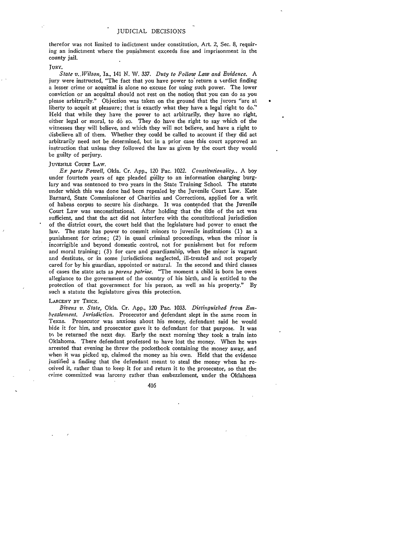therefor was not limited to indictment under constitution, Art. 2, Sec. **8,** requiring an indictment where the punishment exceeds fine and imprisonment in the county jail.

#### **JURY.**

*State v.-Wilson,* Ia., 141 N. W. 337. *Duty to Follow Law and Evidence. A* jury were instructed, "The fact that you have power to return a verdict finding a lesser crime or acquittal is alone no excuse for using such power. The lower conviction or an acquittal should not rest on the notion that you can do as you please arbitrarily." Objection was taken on the ground that the jurors "are at liberty to acquit at pleasure; that is exactly what they have a legal right to do." Held that while they have the power to act arbitrarily, they have no right, either legal or moral, to **do** so. They do have the right to say which of the witnesses they will believe, and which they will not believe, and have a right to disbelieve all of them. Whether they could be called to account if they did act arbitrarily need not be determined, but in a prior case this court approved an instruction that unless they followed the law as given by the court they would be guilty of perjury.

# **JUVENILE** COURT LAW.

*Ex parte Powell,* Okla. Cr. App., 120 Pac. 1022. *Constitutionality..* A boy under fourteen years of age pleaded guilty to an information charging burglary and was sentenced to two years in the State Training School. The statute under which this was done had been repealed by the Juvenile Court Law. Kate Barnard, State Commissioner of Charities and Corrections, applied for a writ of habeas corpus to secure his discharge. It was contended that the Juvenile Court Law was unconstitutional. After holding that the title of the act was sufficient, and that the act did not interfere with the constitutional jurisdiction of the district court, the court held that the legislature had power to enact the law. The state has power to commit minors to juvenile institutions (1) as a punishment for crime; (2) in quasi criminal proceedings, when the minor is incorrigible and beyond domestic control, not for punishment but for reform and moral training; (3) for care and guardianship, when the minor is vagrant and destitute, or in some jurisdictions neglected, ill-treated and not properly cared for by his guardian, appointed or natural. In the second and third classes of cases the state acts as *parens patriae.* "The moment a child is born he owes allegiance to the government of the country of his birth, and is entitled to the protection of that government for his person, as well as his property." By such a statute the legislature gives this protection.

#### LARCENY BY TRICK.

*Bivens v. State,* Okla. Cr. **App.,** 120 Pac. **1033.** *Distinguished from Enibezzlement. Jurisdiction.* Prosecutor and defendant slept in the same room in Texas. Prosecutor was anxious about his money, defendant said he would hide it for him, and prosecutor gave it to defendant for that purpose. It was *to* be returned the next day. Early the next morning 'they took a train into Oklahoma. There defendant professed to have lost the money. When he was arrested that evening he threw the pocketbook containing the money away, and when it was picked up, claimed the money as his own. Held that the evidence justified a finding that the defendant meant to steal the money when he received it, rather than to keep it for and return it to the prosecutor, so that the crime committed was larceny rather than embezzlement, under the Oklahoma

416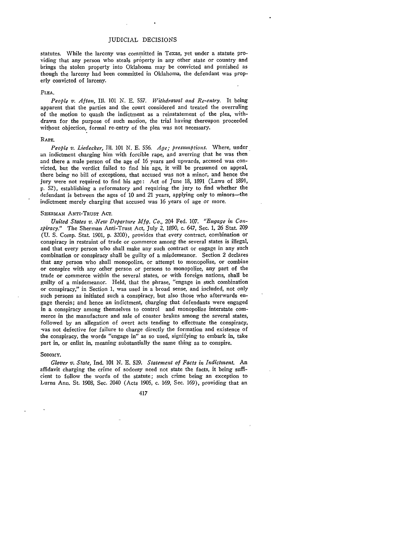statutes. While the larceny was committed in Texas, yet under a statute providing that any person who steals property in any other state or country and brings the stolen property into Oklahoma may be convicted and punished as though the larceny had been committed in Oklahoma, the defendant was properly convicted of larceny.

#### **PLEA.**

*People v. Afton,* Ill. 101 N. E. **557.** *Withdrawal and Re-entry.* It being apparent that the parties and the court considered and treated the overruling of the motion to quash the indictment as a reinstatement of the plea, withdrawn for the purpose of such motion, the trial having thereupon proceeded without objection, formal re-entry of the plea was not necessary.

#### RAPE.

*People v. Liedecker, IIl.* 101 N. E. **556.** *Age; presumptions.* Where, under an indictment charging him with forcible rape, and averring that he was then and there a male person of the age of 16 years and upwards, accused was convicted, but the verdict failed to find his 'age, it will be presumed on appeal, there being no bill of exceptions, that accused was not a minor, and hence the jury were not required to find his age: Act of June 18, 1891 (Laws of 1891, **p.** 52), establishing a reformatory and requiring the jury to find whether the defendant is between the ages of 10 and 21 years, applying only to minors-the indictment merely charging that accused was 16 years of age or more.

#### SHERMAN ANTI-TRUST ACT.

*United States v. New Departure Mfg. Co.,* 204 Fed. 107. *"Engage in Conspiracy."* The Sherman Anti-Trust Act, July 2, 1890, c. 647, Sec. 1, 26 Stat. 209 (U. S. Comp. Stat. 1901, p. 32C0), provides that every contract, combination or conspiracy in restraint of trade or commerce among the several states is illegal, and that every person who shall make any such contract or engage in any such combination or conspiracy shall be guilty of a misdemeanor. Section 2 declares that any person who shall monopolize, or attempt to monopolize, or combine or conspire with any other person or persons to monopolize, any part of the trade or commerce within the several states, or with foreign nations, shall be guilty of a misdemeanor. Held, that the phrase, "engage in such combination or conspiracy," in Section 1, was used in a broad sense, and included, not only such persons as initiated such a conspiracy, but also those who afterwards engage therein; and hence an indictment, charging that defendants were engaged in a conspiracy among themselves to control and monopolize interstate commerce in the manufacture and sale of coaster brakes among the several states, followed by an allegation of overt acts tending to effectuate the conspiracy, vas not defective for failure to charge directly the formation and existence of the conspiracy, the words "engage in" as so used, signifying to embark in, take part in, or enlist in, meaning substantially the same thing as to conspire.

#### SODOMY.

*Glover v. State,* Ind. 101 **N. E.** 529. *Statement of Facts in Indictment.* An affidavit charging the crime of sodomy need not state the facts, it being sufficient to follow the words of the statute; such crime being an exception to Lurns Ann. St. 1908, Sec. 2040 (Acts 1905, c. 169, Sec. 169), providing that an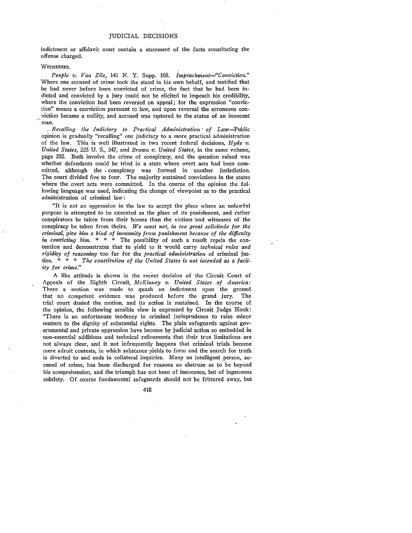indictment or affidavit must contain a statement of the facts constituting the offense charged.

#### WITNESSES.

*People v. Van Zile,* 141 **N.** Y. Supp. 168. *Irnpeachment--"Conviction."* Where one accused of crime took the stand in his own behalf, and testified that he had never before been convicted of crime, the fact that he had been indicted and convicted by a jury could not be elicited to impeach his credibility, where the conviction had been reversed on appeal; for the expression "conviction" means a conviction pursuant to law, and upon reversal the erroneous conviction became a nullity, and accused was restored to the status of an innocent man.

*Recalling the Judiciary to Practical Administration- of Law-Public* opinion is gradually "recalling" our judiciary to a more practical administration of the law. This is well illustrated in two recent federal decisions, *Hyde v. United States,* 225 U. S., 347, and *Brown v. United States,* in the same volume, page *392.* Both involve the crime of conspiracy, and the question raised was whether defendants could be tried in a state where overt acts had been committed, although the . conspiracy was formed in another jurisdiction. The court divided five to four. The majority sustained convictions in the states where the overt acts were committed. In the course of the opinion the following language was used, indicating the change of viewpoint as to the practical administration of criminal law:

"It is not an oppression in the law to accept the place where an unlawful purpose is attempted to be executed as the place of its punishment, and rather conspirators be taken from their homes than the victims "and witnesses of the conspiracy be taken from theirs. *We must not, in too great solicitude for the criminal, 'give him a kind of immunity from punishment because of the difficulty in convicting him.*  $* * *$  The possibility of such a result repels the con-.tention and demonstrates that to yield to it would carry *technical rules and rigidity of reasoning* too far for the *practical administration* of criminal justice. **\*** \* \* *The constitution of the United States is not intended as a facility for crime."*

A like attitude is shown in the recent decision of the Circuit Court of Appeals of the Eighth Circuit, *McKinney v. United States of America:* There a motion was made to quash an indictment upon 'the ground that no competent evidence was produced before the grand jury. The trial court denied the motion, and its action is sustained. In the course of the opinion, the following sensible view is expressed by Circuit Judge Hook: "There is an unfortunate tendency in criminal jurisprudence to raise minor matters to the dignity of substantial rights. The plain safeguards against governmental and private oppression have become by judicial action so embedded in non-essential additions and technical refinements that their true limitations are not always clear, and it not infrequently happens that criminal trials become mere adroit contests, in which substance yields to form and the search for truth is diverted to and ends in collateral inquiries. Many an intelligent person, accused of crime, has been discharged for reasons so abstruse as to be beyond his comprehension, and the triumph has not been of innocence, but of ingenuous subtlety. Of course fundamental safeguards should not be frittered away, but